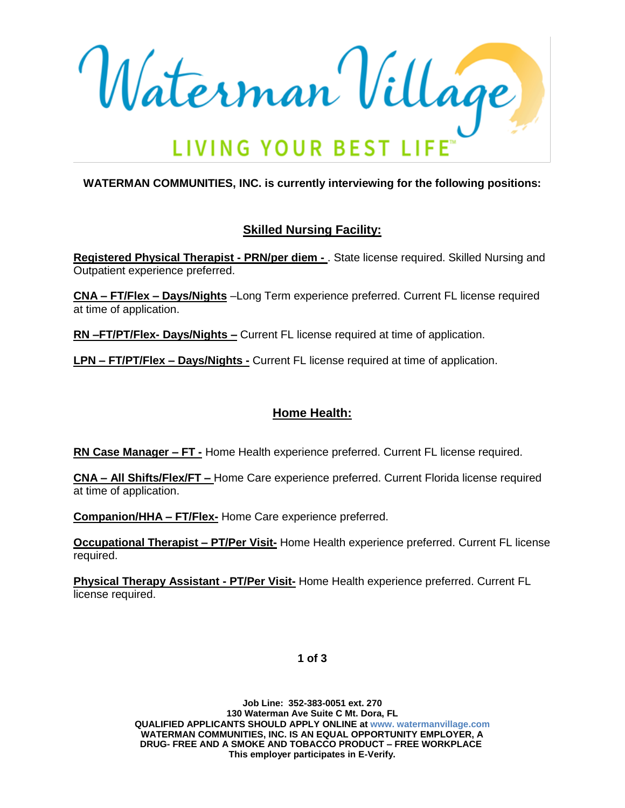Waterman Village

**WATERMAN COMMUNITIES, INC. is currently interviewing for the following positions:**

# **Skilled Nursing Facility:**

**Registered Physical Therapist - PRN/per diem -** . State license required. Skilled Nursing and Outpatient experience preferred.

**CNA – FT/Flex – Days/Nights** –Long Term experience preferred. Current FL license required at time of application.

**RN –FT/PT/Flex- Days/Nights –** Current FL license required at time of application.

**LPN – FT/PT/Flex – Days/Nights -** Current FL license required at time of application.

## **Home Health:**

**RN Case Manager – FT -** Home Health experience preferred. Current FL license required.

**CNA – All Shifts/Flex/FT –** Home Care experience preferred. Current Florida license required at time of application.

**Companion/HHA – FT/Flex-** Home Care experience preferred.

**Occupational Therapist – PT/Per Visit-** Home Health experience preferred. Current FL license required.

**Physical Therapy Assistant - PT/Per Visit-** Home Health experience preferred. Current FL license required.

**1 of 3**

**Job Line: 352-383-0051 ext. 270 130 Waterman Ave Suite C Mt. Dora, FL QUALIFIED APPLICANTS SHOULD APPLY ONLINE at www. watermanvillage.com WATERMAN COMMUNITIES, INC. IS AN EQUAL OPPORTUNITY EMPLOYER, A DRUG- FREE AND A SMOKE AND TOBACCO PRODUCT – FREE WORKPLACE This employer participates in E-Verify.**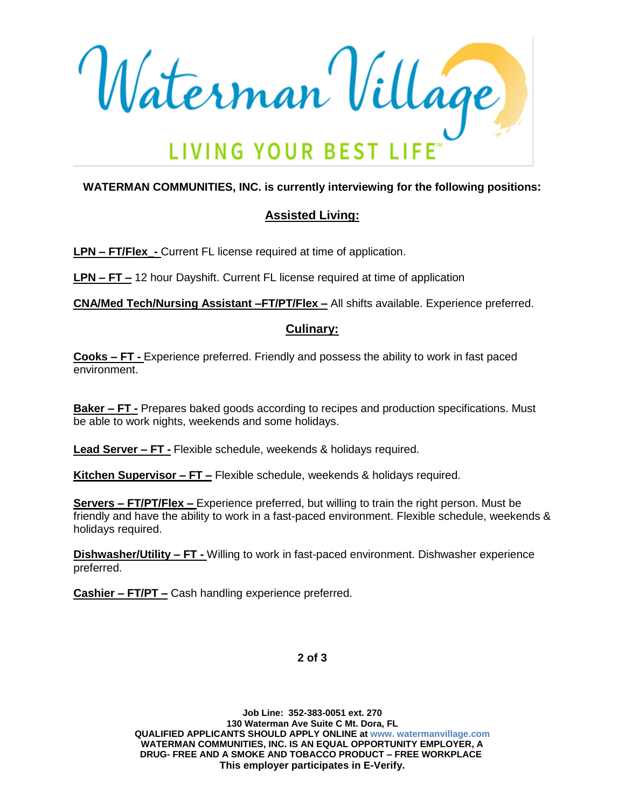

## **WATERMAN COMMUNITIES, INC. is currently interviewing for the following positions:**

# **Assisted Living:**

**LPN – FT/Flex\_-** Current FL license required at time of application.

**LPN – FT –** 12 hour Dayshift. Current FL license required at time of application

**CNA/Med Tech/Nursing Assistant –FT/PT/Flex –** All shifts available. Experience preferred.

### **Culinary:**

**Cooks – FT -** Experience preferred. Friendly and possess the ability to work in fast paced environment.

**Baker – FT -** Prepares baked goods according to recipes and production specifications. Must be able to work nights, weekends and some holidays.

**Lead Server – FT -** Flexible schedule, weekends & holidays required.

**Kitchen Supervisor – FT –** Flexible schedule, weekends & holidays required.

**Servers – FT/PT/Flex –** Experience preferred, but willing to train the right person. Must be friendly and have the ability to work in a fast-paced environment. Flexible schedule, weekends & holidays required.

**Dishwasher/Utility – FT -** Willing to work in fast-paced environment. Dishwasher experience preferred.

**Cashier – FT/PT –** Cash handling experience preferred.

**2 of 3**

**Job Line: 352-383-0051 ext. 270 130 Waterman Ave Suite C Mt. Dora, FL QUALIFIED APPLICANTS SHOULD APPLY ONLINE at www. watermanvillage.com WATERMAN COMMUNITIES, INC. IS AN EQUAL OPPORTUNITY EMPLOYER, A DRUG- FREE AND A SMOKE AND TOBACCO PRODUCT – FREE WORKPLACE This employer participates in E-Verify.**